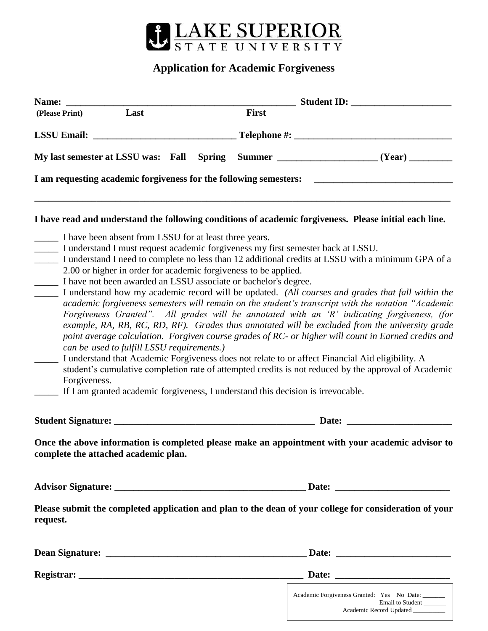

## **Application for Academic Forgiveness**

| Name:                                                                                                                                                                                                                                                                                |       |                                                                                                                                                                                                                                                                                                                                                                                                                                                                                                                                                                                                                                                                                                                                                                                                                                   |
|--------------------------------------------------------------------------------------------------------------------------------------------------------------------------------------------------------------------------------------------------------------------------------------|-------|-----------------------------------------------------------------------------------------------------------------------------------------------------------------------------------------------------------------------------------------------------------------------------------------------------------------------------------------------------------------------------------------------------------------------------------------------------------------------------------------------------------------------------------------------------------------------------------------------------------------------------------------------------------------------------------------------------------------------------------------------------------------------------------------------------------------------------------|
| Last<br>(Please Print)                                                                                                                                                                                                                                                               | First |                                                                                                                                                                                                                                                                                                                                                                                                                                                                                                                                                                                                                                                                                                                                                                                                                                   |
| <b>LSSU Email:</b>                                                                                                                                                                                                                                                                   |       |                                                                                                                                                                                                                                                                                                                                                                                                                                                                                                                                                                                                                                                                                                                                                                                                                                   |
| My last semester at LSSU was: Fall Spring                                                                                                                                                                                                                                            |       |                                                                                                                                                                                                                                                                                                                                                                                                                                                                                                                                                                                                                                                                                                                                                                                                                                   |
| I am requesting academic forgiveness for the following semesters:                                                                                                                                                                                                                    |       |                                                                                                                                                                                                                                                                                                                                                                                                                                                                                                                                                                                                                                                                                                                                                                                                                                   |
|                                                                                                                                                                                                                                                                                      |       | I have read and understand the following conditions of academic forgiveness. Please initial each line.                                                                                                                                                                                                                                                                                                                                                                                                                                                                                                                                                                                                                                                                                                                            |
| 2.00 or higher in order for academic forgiveness to be applied.<br>I have not been awarded an LSSU associate or bachelor's degree.<br>can be used to fulfill LSSU requirements.)<br>Forgiveness.<br>If I am granted academic forgiveness, I understand this decision is irrevocable. |       | I understand I need to complete no less than 12 additional credits at LSSU with a minimum GPA of a<br>I understand how my academic record will be updated. (All courses and grades that fall within the<br>academic forgiveness semesters will remain on the student's transcript with the notation "Academic<br>Forgiveness Granted". All grades will be annotated with an 'R' indicating forgiveness, (for<br>example, RA, RB, RC, RD, RF). Grades thus annotated will be excluded from the university grade<br>point average calculation. Forgiven course grades of RC- or higher will count in Earned credits and<br>I understand that Academic Forgiveness does not relate to or affect Financial Aid eligibility. A<br>student's cumulative completion rate of attempted credits is not reduced by the approval of Academic |
|                                                                                                                                                                                                                                                                                      |       | Date:                                                                                                                                                                                                                                                                                                                                                                                                                                                                                                                                                                                                                                                                                                                                                                                                                             |
| complete the attached academic plan.                                                                                                                                                                                                                                                 |       | Once the above information is completed please make an appointment with your academic advisor to                                                                                                                                                                                                                                                                                                                                                                                                                                                                                                                                                                                                                                                                                                                                  |
|                                                                                                                                                                                                                                                                                      |       |                                                                                                                                                                                                                                                                                                                                                                                                                                                                                                                                                                                                                                                                                                                                                                                                                                   |
| request.                                                                                                                                                                                                                                                                             |       | Please submit the completed application and plan to the dean of your college for consideration of your                                                                                                                                                                                                                                                                                                                                                                                                                                                                                                                                                                                                                                                                                                                            |
|                                                                                                                                                                                                                                                                                      |       |                                                                                                                                                                                                                                                                                                                                                                                                                                                                                                                                                                                                                                                                                                                                                                                                                                   |
|                                                                                                                                                                                                                                                                                      |       |                                                                                                                                                                                                                                                                                                                                                                                                                                                                                                                                                                                                                                                                                                                                                                                                                                   |
|                                                                                                                                                                                                                                                                                      |       | Academic Forgiveness Granted: Yes No Date:<br>Email to Student                                                                                                                                                                                                                                                                                                                                                                                                                                                                                                                                                                                                                                                                                                                                                                    |

Academic Record Updated \_\_\_\_\_\_\_\_\_\_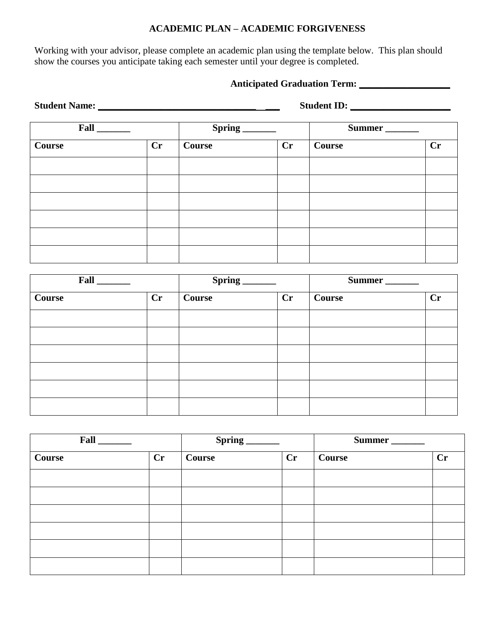## **ACADEMIC PLAN – ACADEMIC FORGIVENESS**

Working with your advisor, please complete an academic plan using the template below. This plan should show the courses you anticipate taking each semester until your degree is completed.

## **Anticipated Graduation Term: \_\_\_\_\_\_\_\_\_\_\_\_\_\_\_\_\_\_\_**

| Student Name: Name and Student Name and Student Name and Student Name and Student Reserves and Student Reserves |    | Student ID: |    |        |    |  |
|-----------------------------------------------------------------------------------------------------------------|----|-------------|----|--------|----|--|
| $Fall_$                                                                                                         |    |             |    | Summer |    |  |
| Course                                                                                                          | Cr | Course      | Cr | Course | Cr |  |
|                                                                                                                 |    |             |    |        |    |  |
|                                                                                                                 |    |             |    |        |    |  |
|                                                                                                                 |    |             |    |        |    |  |
|                                                                                                                 |    |             |    |        |    |  |
|                                                                                                                 |    |             |    |        |    |  |
|                                                                                                                 |    |             |    |        |    |  |

| Fall          |    | $Spring$ <sub><math>-</math></sub> |    | Summer |    |
|---------------|----|------------------------------------|----|--------|----|
| <b>Course</b> | Cr | Course                             | Cr | Course | Cr |
|               |    |                                    |    |        |    |
|               |    |                                    |    |        |    |
|               |    |                                    |    |        |    |
|               |    |                                    |    |        |    |
|               |    |                                    |    |        |    |
|               |    |                                    |    |        |    |

| Fall          |    |        |    | Summer |    |
|---------------|----|--------|----|--------|----|
| <b>Course</b> | Cr | Course | Cr | Course | Cr |
|               |    |        |    |        |    |
|               |    |        |    |        |    |
|               |    |        |    |        |    |
|               |    |        |    |        |    |
|               |    |        |    |        |    |
|               |    |        |    |        |    |